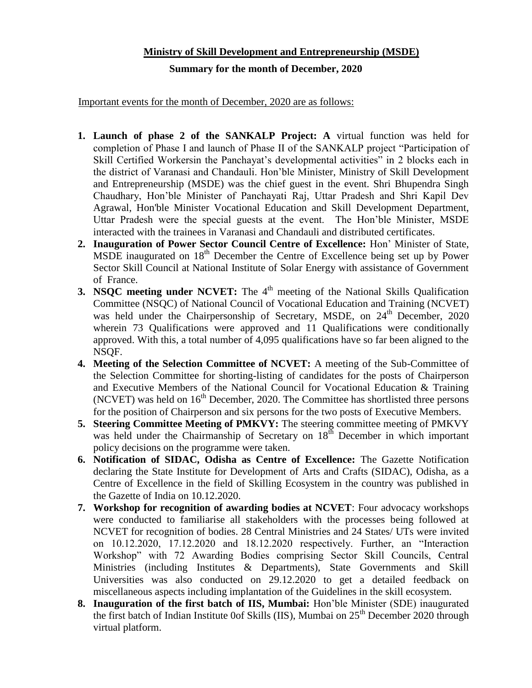## **Ministry of Skill Development and Entrepreneurship (MSDE)**

## **Summary for the month of December, 2020**

Important events for the month of December, 2020 are as follows:

- **1. Launch of phase 2 of the SANKALP Project: A** virtual function was held for completion of Phase I and launch of Phase II of the SANKALP project "Participation of Skill Certified Workersin the Panchayat's developmental activities" in 2 blocks each in the district of Varanasi and Chandauli. Hon'ble Minister, Ministry of Skill Development and Entrepreneurship (MSDE) was the chief guest in the event. Shri Bhupendra Singh Chaudhary, Hon'ble Minister of Panchayati Raj, Uttar Pradesh and Shri Kapil Dev Agrawal, Hon'ble Minister Vocational Education and Skill Development Department, Uttar Pradesh were the special guests at the event. The Hon'ble Minister, MSDE interacted with the trainees in Varanasi and Chandauli and distributed certificates.
- **2. Inauguration of Power Sector Council Centre of Excellence:** Hon' Minister of State, MSDE inaugurated on  $18<sup>th</sup>$  December the Centre of Excellence being set up by Power Sector Skill Council at National Institute of Solar Energy with assistance of Government of France.
- **3. NSQC meeting under NCVET:** The 4<sup>th</sup> meeting of the National Skills Qualification Committee (NSQC) of National Council of Vocational Education and Training (NCVET) was held under the Chairpersonship of Secretary, MSDE, on  $24<sup>th</sup>$  December, 2020 wherein 73 Qualifications were approved and 11 Qualifications were conditionally approved. With this, a total number of 4,095 qualifications have so far been aligned to the NSQF.
- **4. Meeting of the Selection Committee of NCVET:** A meeting of the Sub-Committee of the Selection Committee for shorting-listing of candidates for the posts of Chairperson and Executive Members of the National Council for Vocational Education & Training (NCVET) was held on  $16<sup>th</sup>$  December, 2020. The Committee has shortlisted three persons for the position of Chairperson and six persons for the two posts of Executive Members.
- **5. Steering Committee Meeting of PMKVY:** The steering committee meeting of PMKVY was held under the Chairmanship of Secretary on  $18<sup>th</sup>$  December in which important policy decisions on the programme were taken.
- **6. Notification of SIDAC, Odisha as Centre of Excellence:** The Gazette Notification declaring the State Institute for Development of Arts and Crafts (SIDAC), Odisha, as a Centre of Excellence in the field of Skilling Ecosystem in the country was published in the Gazette of India on 10.12.2020.
- **7. Workshop for recognition of awarding bodies at NCVET**: Four advocacy workshops were conducted to familiarise all stakeholders with the processes being followed at NCVET for recognition of bodies. 28 Central Ministries and 24 States/ UTs were invited on 10.12.2020, 17.12.2020 and 18.12.2020 respectively. Further, an "Interaction Workshop" with 72 Awarding Bodies comprising Sector Skill Councils, Central Ministries (including Institutes & Departments), State Governments and Skill Universities was also conducted on 29.12.2020 to get a detailed feedback on miscellaneous aspects including implantation of the Guidelines in the skill ecosystem.
- **8. Inauguration of the first batch of IIS, Mumbai:** Hon'ble Minister (SDE) inaugurated the first batch of Indian Institute 0of Skills (IIS), Mumbai on  $25<sup>th</sup>$  December 2020 through virtual platform.